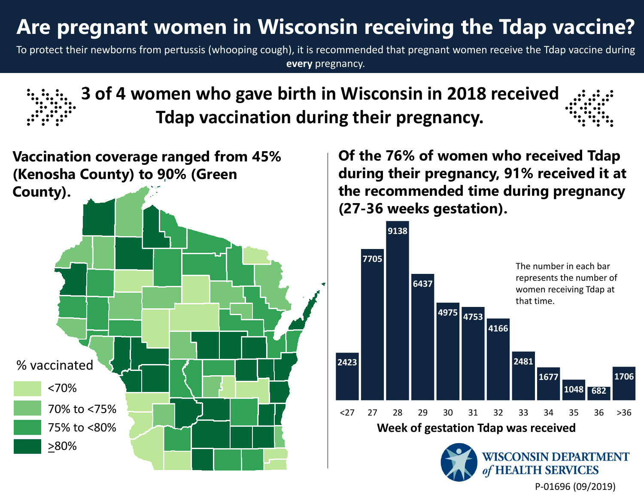## **Are pregnant women in Wisconsin receiving the Tdap vaccine?**

To protect their newborns from pertussis (whooping cough), it is recommended that pregnant women receive the Tdap vaccine during **every** pregnancy.





**Of the 76% of women who received Tdap during their pregnancy, 91% received it at the recommended time during pregnancy (27-36 weeks gestation).**



P‐01696 (09/2019)

**TH SERVICES**